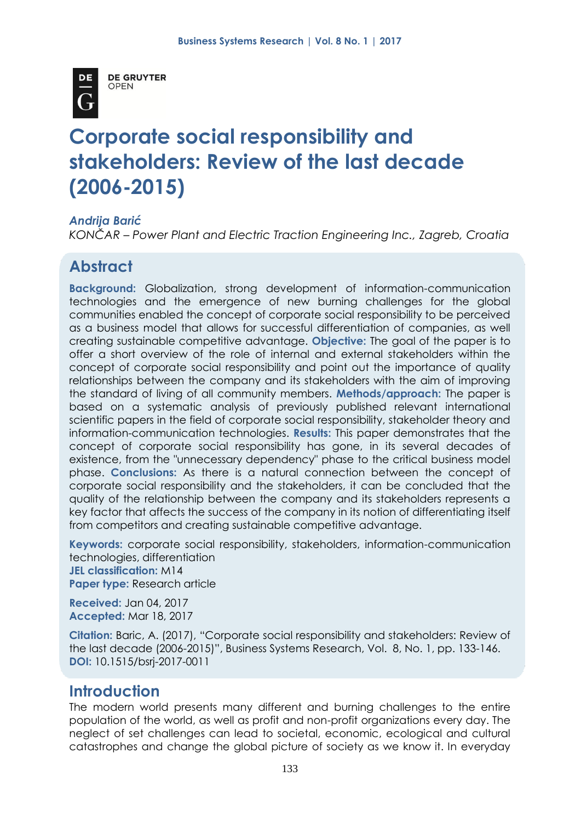

**DE GRUYTER OPEN** 

# **Corporate social responsibility and stakeholders: Review of the last decade (2006-2015)**

#### *Andrija Barić*

*KONČAR – Power Plant and Electric Traction Engineering Inc., Zagreb, Croatia* 

# **Abstract**

**Background:** Globalization, strong development of information-communication technologies and the emergence of new burning challenges for the global communities enabled the concept of corporate social responsibility to be perceived as a business model that allows for successful differentiation of companies, as well creating sustainable competitive advantage. **Objective:** The goal of the paper is to offer a short overview of the role of internal and external stakeholders within the concept of corporate social responsibility and point out the importance of quality relationships between the company and its stakeholders with the aim of improving the standard of living of all community members. **Methods/approach:** The paper is based on a systematic analysis of previously published relevant international scientific papers in the field of corporate social responsibility, stakeholder theory and information-communication technologies. **Results:** This paper demonstrates that the concept of corporate social responsibility has gone, in its several decades of existence, from the "unnecessary dependency" phase to the critical business model phase. **Conclusions:** As there is a natural connection between the concept of corporate social responsibility and the stakeholders, it can be concluded that the quality of the relationship between the company and its stakeholders represents a key factor that affects the success of the company in its notion of differentiating itself from competitors and creating sustainable competitive advantage.

**Keywords:** corporate social responsibility, stakeholders, information-communication technologies, differentiation **JEL classification:** M14 **Paper type:** Research article

**Received:** Jan 04, 2017 **Accepted:** Mar 18, 2017

**Citation:** Baric, A. (2017), "Corporate social responsibility and stakeholders: Review of the last decade (2006-2015)", Business Systems Research, Vol. 8, No. 1, pp. 133-146. **DOI:** 10.1515/bsrj-2017-0011

## **Introduction**

The modern world presents many different and burning challenges to the entire population of the world, as well as profit and non-profit organizations every day. The neglect of set challenges can lead to societal, economic, ecological and cultural catastrophes and change the global picture of society as we know it. In everyday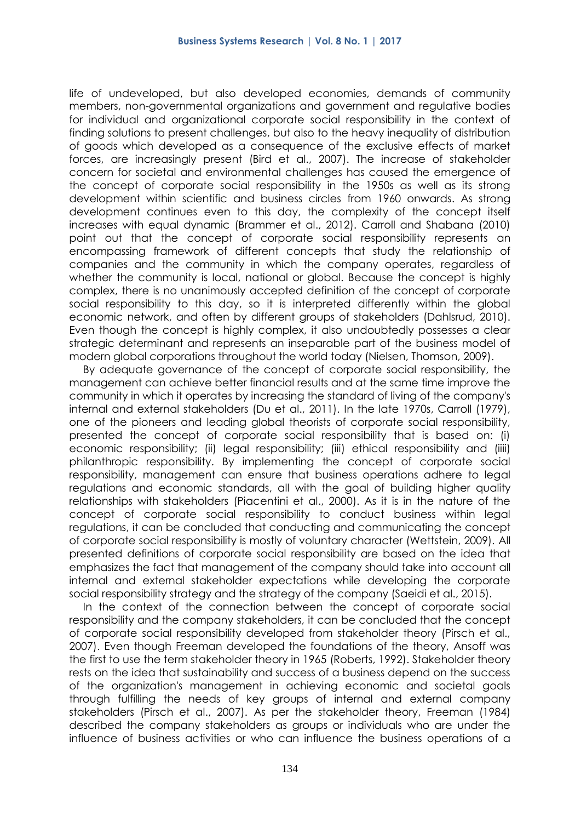life of undeveloped, but also developed economies, demands of community members, non-governmental organizations and government and regulative bodies for individual and organizational corporate social responsibility in the context of finding solutions to present challenges, but also to the heavy inequality of distribution of goods which developed as a consequence of the exclusive effects of market forces, are increasingly present (Bird et al., 2007). The increase of stakeholder concern for societal and environmental challenges has caused the emergence of the concept of corporate social responsibility in the 1950s as well as its strong development within scientific and business circles from 1960 onwards. As strong development continues even to this day, the complexity of the concept itself increases with equal dynamic (Brammer et al., 2012). Carroll and Shabana (2010) point out that the concept of corporate social responsibility represents an encompassing framework of different concepts that study the relationship of companies and the community in which the company operates, regardless of whether the community is local, national or global. Because the concept is highly complex, there is no unanimously accepted definition of the concept of corporate social responsibility to this day, so it is interpreted differently within the global economic network, and often by different groups of stakeholders (Dahlsrud, 2010). Even though the concept is highly complex, it also undoubtedly possesses a clear strategic determinant and represents an inseparable part of the business model of modern global corporations throughout the world today (Nielsen, Thomson, 2009).

By adequate governance of the concept of corporate social responsibility, the management can achieve better financial results and at the same time improve the community in which it operates by increasing the standard of living of the company's internal and external stakeholders (Du et al., 2011). In the late 1970s, Carroll (1979), one of the pioneers and leading global theorists of corporate social responsibility, presented the concept of corporate social responsibility that is based on: (i) economic responsibility; (ii) legal responsibility; (iii) ethical responsibility and (iiii) philanthropic responsibility. By implementing the concept of corporate social responsibility, management can ensure that business operations adhere to legal regulations and economic standards, all with the goal of building higher quality relationships with stakeholders (Piacentini et al., 2000). As it is in the nature of the concept of corporate social responsibility to conduct business within legal regulations, it can be concluded that conducting and communicating the concept of corporate social responsibility is mostly of voluntary character (Wettstein, 2009). All presented definitions of corporate social responsibility are based on the idea that emphasizes the fact that management of the company should take into account all internal and external stakeholder expectations while developing the corporate social responsibility strategy and the strategy of the company (Saeidi et al., 2015).

In the context of the connection between the concept of corporate social responsibility and the company stakeholders, it can be concluded that the concept of corporate social responsibility developed from stakeholder theory (Pirsch et al., 2007). Even though Freeman developed the foundations of the theory, Ansoff was the first to use the term stakeholder theory in 1965 (Roberts, 1992). Stakeholder theory rests on the idea that sustainability and success of a business depend on the success of the organization's management in achieving economic and societal goals through fulfilling the needs of key groups of internal and external company stakeholders (Pirsch et al., 2007). As per the stakeholder theory, Freeman (1984) described the company stakeholders as groups or individuals who are under the influence of business activities or who can influence the business operations of a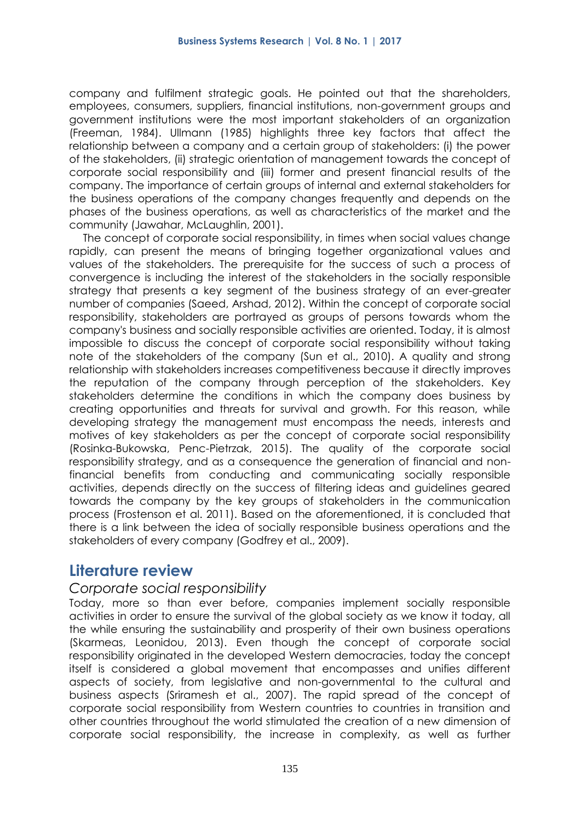company and fulfilment strategic goals. He pointed out that the shareholders, employees, consumers, suppliers, financial institutions, non-government groups and government institutions were the most important stakeholders of an organization (Freeman, 1984). Ullmann (1985) highlights three key factors that affect the relationship between a company and a certain group of stakeholders: (i) the power of the stakeholders, (ii) strategic orientation of management towards the concept of corporate social responsibility and (iii) former and present financial results of the company. The importance of certain groups of internal and external stakeholders for the business operations of the company changes frequently and depends on the phases of the business operations, as well as characteristics of the market and the community (Jawahar, McLaughlin, 2001).

The concept of corporate social responsibility, in times when social values change rapidly, can present the means of bringing together organizational values and values of the stakeholders. The prerequisite for the success of such a process of convergence is including the interest of the stakeholders in the socially responsible strategy that presents a key segment of the business strategy of an ever-greater number of companies (Saeed, Arshad, 2012). Within the concept of corporate social responsibility, stakeholders are portrayed as groups of persons towards whom the company's business and socially responsible activities are oriented. Today, it is almost impossible to discuss the concept of corporate social responsibility without taking note of the stakeholders of the company (Sun et al., 2010). A quality and strong relationship with stakeholders increases competitiveness because it directly improves the reputation of the company through perception of the stakeholders. Key stakeholders determine the conditions in which the company does business by creating opportunities and threats for survival and growth. For this reason, while developing strategy the management must encompass the needs, interests and motives of key stakeholders as per the concept of corporate social responsibility (Rosinka-Bukowska, Penc-Pietrzak, 2015). The quality of the corporate social responsibility strategy, and as a consequence the generation of financial and nonfinancial benefits from conducting and communicating socially responsible activities, depends directly on the success of filtering ideas and guidelines geared towards the company by the key groups of stakeholders in the communication process (Frostenson et al. 2011). Based on the aforementioned, it is concluded that there is a link between the idea of socially responsible business operations and the stakeholders of every company (Godfrey et al., 2009).

### **Literature review**

#### *Corporate social responsibility*

Today, more so than ever before, companies implement socially responsible activities in order to ensure the survival of the global society as we know it today, all the while ensuring the sustainability and prosperity of their own business operations (Skarmeas, Leonidou, 2013). Even though the concept of corporate social responsibility originated in the developed Western democracies, today the concept itself is considered a global movement that encompasses and unifies different aspects of society, from legislative and non-governmental to the cultural and business aspects (Sriramesh et al., 2007). The rapid spread of the concept of corporate social responsibility from Western countries to countries in transition and other countries throughout the world stimulated the creation of a new dimension of corporate social responsibility, the increase in complexity, as well as further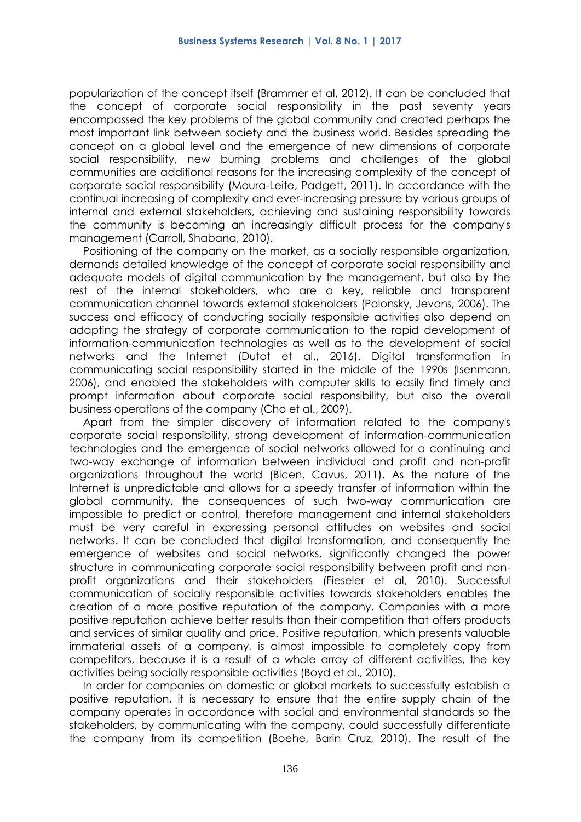popularization of the concept itself (Brammer et al, 2012). It can be concluded that the concept of corporate social responsibility in the past seventy years encompassed the key problems of the global community and created perhaps the most important link between society and the business world. Besides spreading the concept on a global level and the emergence of new dimensions of corporate social responsibility, new burning problems and challenges of the global communities are additional reasons for the increasing complexity of the concept of corporate social responsibility (Moura-Leite, Padgett, 2011). In accordance with the continual increasing of complexity and ever-increasing pressure by various groups of internal and external stakeholders, achieving and sustaining responsibility towards the community is becoming an increasingly difficult process for the company's management (Carroll, Shabana, 2010).

Positioning of the company on the market, as a socially responsible organization, demands detailed knowledge of the concept of corporate social responsibility and adequate models of digital communication by the management, but also by the rest of the internal stakeholders, who are a key, reliable and transparent communication channel towards external stakeholders (Polonsky, Jevons, 2006). The success and efficacy of conducting socially responsible activities also depend on adapting the strategy of corporate communication to the rapid development of information-communication technologies as well as to the development of social networks and the Internet (Dutot et al., 2016). Digital transformation in communicating social responsibility started in the middle of the 1990s (Isenmann, 2006), and enabled the stakeholders with computer skills to easily find timely and prompt information about corporate social responsibility, but also the overall business operations of the company (Cho et al., 2009).

Apart from the simpler discovery of information related to the company's corporate social responsibility, strong development of information-communication technologies and the emergence of social networks allowed for a continuing and two-way exchange of information between individual and profit and non-profit organizations throughout the world (Bicen, Cavus, 2011). As the nature of the Internet is unpredictable and allows for a speedy transfer of information within the global community, the consequences of such two-way communication are impossible to predict or control, therefore management and internal stakeholders must be very careful in expressing personal attitudes on websites and social networks. It can be concluded that digital transformation, and consequently the emergence of websites and social networks, significantly changed the power structure in communicating corporate social responsibility between profit and nonprofit organizations and their stakeholders (Fieseler et al, 2010). Successful communication of socially responsible activities towards stakeholders enables the creation of a more positive reputation of the company. Companies with a more positive reputation achieve better results than their competition that offers products and services of similar quality and price. Positive reputation, which presents valuable immaterial assets of a company, is almost impossible to completely copy from competitors, because it is a result of a whole array of different activities, the key activities being socially responsible activities (Boyd et al., 2010).

In order for companies on domestic or global markets to successfully establish a positive reputation, it is necessary to ensure that the entire supply chain of the company operates in accordance with social and environmental standards so the stakeholders, by communicating with the company, could successfully differentiate the company from its competition (Boehe, Barin Cruz, 2010). The result of the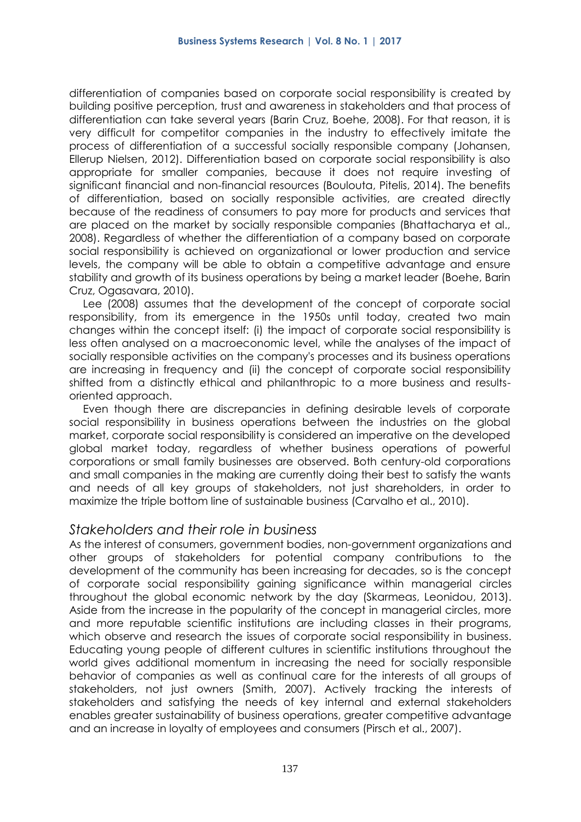differentiation of companies based on corporate social responsibility is created by building positive perception, trust and awareness in stakeholders and that process of differentiation can take several years (Barin Cruz, Boehe, 2008). For that reason, it is very difficult for competitor companies in the industry to effectively imitate the process of differentiation of a successful socially responsible company (Johansen, Ellerup Nielsen, 2012). Differentiation based on corporate social responsibility is also appropriate for smaller companies, because it does not require investing of significant financial and non-financial resources (Boulouta, Pitelis, 2014). The benefits of differentiation, based on socially responsible activities, are created directly because of the readiness of consumers to pay more for products and services that are placed on the market by socially responsible companies (Bhattacharya et al., 2008). Regardless of whether the differentiation of a company based on corporate social responsibility is achieved on organizational or lower production and service levels, the company will be able to obtain a competitive advantage and ensure stability and growth of its business operations by being a market leader (Boehe, Barin Cruz, Ogasavara, 2010).

Lee (2008) assumes that the development of the concept of corporate social responsibility, from its emergence in the 1950s until today, created two main changes within the concept itself: (i) the impact of corporate social responsibility is less often analysed on a macroeconomic level, while the analyses of the impact of socially responsible activities on the company's processes and its business operations are increasing in frequency and (ii) the concept of corporate social responsibility shifted from a distinctly ethical and philanthropic to a more business and resultsoriented approach.

Even though there are discrepancies in defining desirable levels of corporate social responsibility in business operations between the industries on the global market, corporate social responsibility is considered an imperative on the developed global market today, regardless of whether business operations of powerful corporations or small family businesses are observed. Both century-old corporations and small companies in the making are currently doing their best to satisfy the wants and needs of all key groups of stakeholders, not just shareholders, in order to maximize the triple bottom line of sustainable business (Carvalho et al., 2010).

#### *Stakeholders and their role in business*

As the interest of consumers, government bodies, non-government organizations and other groups of stakeholders for potential company contributions to the development of the community has been increasing for decades, so is the concept of corporate social responsibility gaining significance within managerial circles throughout the global economic network by the day (Skarmeas, Leonidou, 2013). Aside from the increase in the popularity of the concept in managerial circles, more and more reputable scientific institutions are including classes in their programs, which observe and research the issues of corporate social responsibility in business. Educating young people of different cultures in scientific institutions throughout the world gives additional momentum in increasing the need for socially responsible behavior of companies as well as continual care for the interests of all groups of stakeholders, not just owners (Smith, 2007). Actively tracking the interests of stakeholders and satisfying the needs of key internal and external stakeholders enables greater sustainability of business operations, greater competitive advantage and an increase in loyalty of employees and consumers (Pirsch et al., 2007).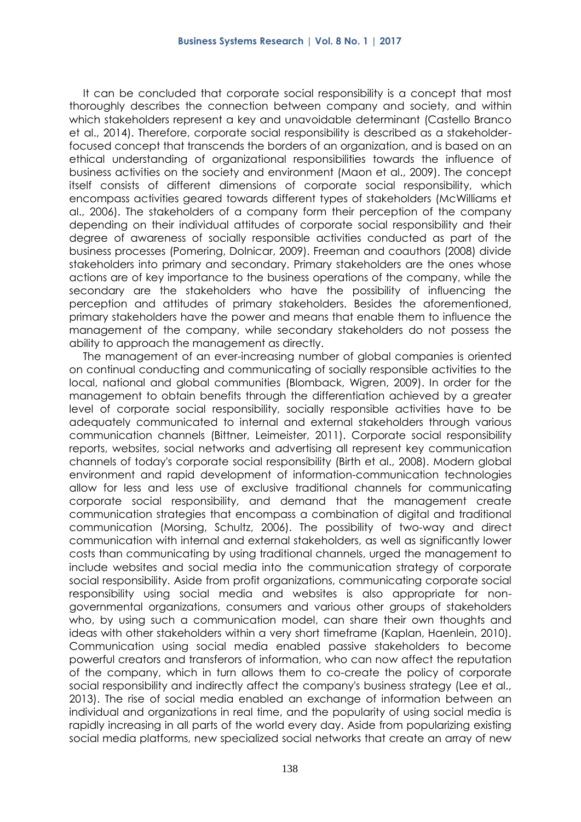It can be concluded that corporate social responsibility is a concept that most thoroughly describes the connection between company and society, and within which stakeholders represent a key and unavoidable determinant (Castello Branco et al., 2014). Therefore, corporate social responsibility is described as a stakeholderfocused concept that transcends the borders of an organization, and is based on an ethical understanding of organizational responsibilities towards the influence of business activities on the society and environment (Maon et al., 2009). The concept itself consists of different dimensions of corporate social responsibility, which encompass activities geared towards different types of stakeholders (McWilliams et al., 2006). The stakeholders of a company form their perception of the company depending on their individual attitudes of corporate social responsibility and their degree of awareness of socially responsible activities conducted as part of the business processes (Pomering, Dolnicar, 2009). Freeman and coauthors (2008) divide stakeholders into primary and secondary. Primary stakeholders are the ones whose actions are of key importance to the business operations of the company, while the secondary are the stakeholders who have the possibility of influencing the perception and attitudes of primary stakeholders. Besides the aforementioned, primary stakeholders have the power and means that enable them to influence the management of the company, while secondary stakeholders do not possess the ability to approach the management as directly.

The management of an ever-increasing number of global companies is oriented on continual conducting and communicating of socially responsible activities to the local, national and global communities (Blomback, Wigren, 2009). In order for the management to obtain benefits through the differentiation achieved by a greater level of corporate social responsibility, socially responsible activities have to be adequately communicated to internal and external stakeholders through various communication channels (Bittner, Leimeister, 2011). Corporate social responsibility reports, websites, social networks and advertising all represent key communication channels of today's corporate social responsibility (Birth et al., 2008). Modern global environment and rapid development of information-communication technologies allow for less and less use of exclusive traditional channels for communicating corporate social responsibility, and demand that the management create communication strategies that encompass a combination of digital and traditional communication (Morsing, Schultz, 2006). The possibility of two-way and direct communication with internal and external stakeholders, as well as significantly lower costs than communicating by using traditional channels, urged the management to include websites and social media into the communication strategy of corporate social responsibility. Aside from profit organizations, communicating corporate social responsibility using social media and websites is also appropriate for nongovernmental organizations, consumers and various other groups of stakeholders who, by using such a communication model, can share their own thoughts and ideas with other stakeholders within a very short timeframe (Kaplan, Haenlein, 2010). Communication using social media enabled passive stakeholders to become powerful creators and transferors of information, who can now affect the reputation of the company, which in turn allows them to co-create the policy of corporate social responsibility and indirectly affect the company's business strategy (Lee et al., 2013). The rise of social media enabled an exchange of information between an individual and organizations in real time, and the popularity of using social media is rapidly increasing in all parts of the world every day. Aside from popularizing existing social media platforms, new specialized social networks that create an array of new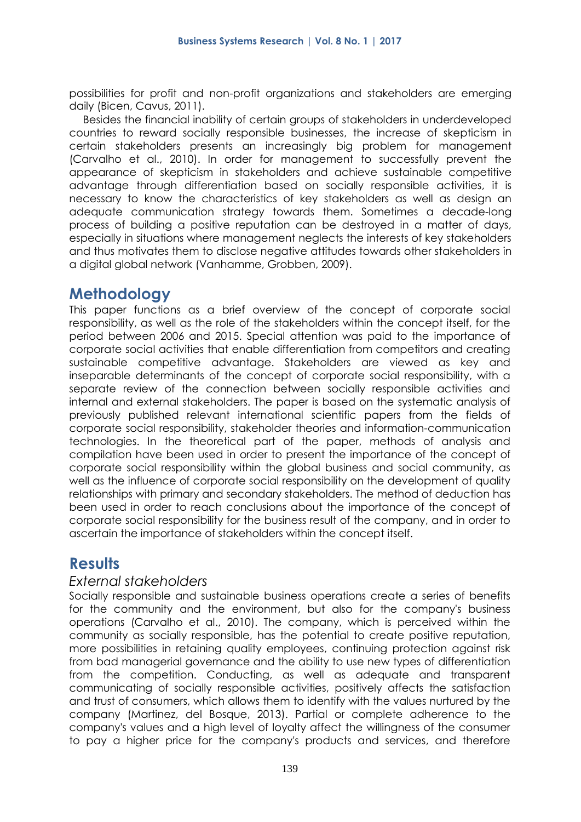possibilities for profit and non-profit organizations and stakeholders are emerging daily (Bicen, Cavus, 2011).

Besides the financial inability of certain groups of stakeholders in underdeveloped countries to reward socially responsible businesses, the increase of skepticism in certain stakeholders presents an increasingly big problem for management (Carvalho et al., 2010). In order for management to successfully prevent the appearance of skepticism in stakeholders and achieve sustainable competitive advantage through differentiation based on socially responsible activities, it is necessary to know the characteristics of key stakeholders as well as design an adequate communication strategy towards them. Sometimes a decade-long process of building a positive reputation can be destroyed in a matter of days, especially in situations where management neglects the interests of key stakeholders and thus motivates them to disclose negative attitudes towards other stakeholders in a digital global network (Vanhamme, Grobben, 2009).

### **Methodology**

This paper functions as a brief overview of the concept of corporate social responsibility, as well as the role of the stakeholders within the concept itself, for the period between 2006 and 2015. Special attention was paid to the importance of corporate social activities that enable differentiation from competitors and creating sustainable competitive advantage. Stakeholders are viewed as key and inseparable determinants of the concept of corporate social responsibility, with a separate review of the connection between socially responsible activities and internal and external stakeholders. The paper is based on the systematic analysis of previously published relevant international scientific papers from the fields of corporate social responsibility, stakeholder theories and information-communication technologies. In the theoretical part of the paper, methods of analysis and compilation have been used in order to present the importance of the concept of corporate social responsibility within the global business and social community, as well as the influence of corporate social responsibility on the development of quality relationships with primary and secondary stakeholders. The method of deduction has been used in order to reach conclusions about the importance of the concept of corporate social responsibility for the business result of the company, and in order to ascertain the importance of stakeholders within the concept itself.

# **Results**

#### *External stakeholders*

Socially responsible and sustainable business operations create a series of benefits for the community and the environment, but also for the company's business operations (Carvalho et al., 2010). The company, which is perceived within the community as socially responsible, has the potential to create positive reputation, more possibilities in retaining quality employees, continuing protection against risk from bad managerial governance and the ability to use new types of differentiation from the competition. Conducting, as well as adequate and transparent communicating of socially responsible activities, positively affects the satisfaction and trust of consumers, which allows them to identify with the values nurtured by the company (Martinez, del Bosque, 2013). Partial or complete adherence to the company's values and a high level of loyalty affect the willingness of the consumer to pay a higher price for the company's products and services, and therefore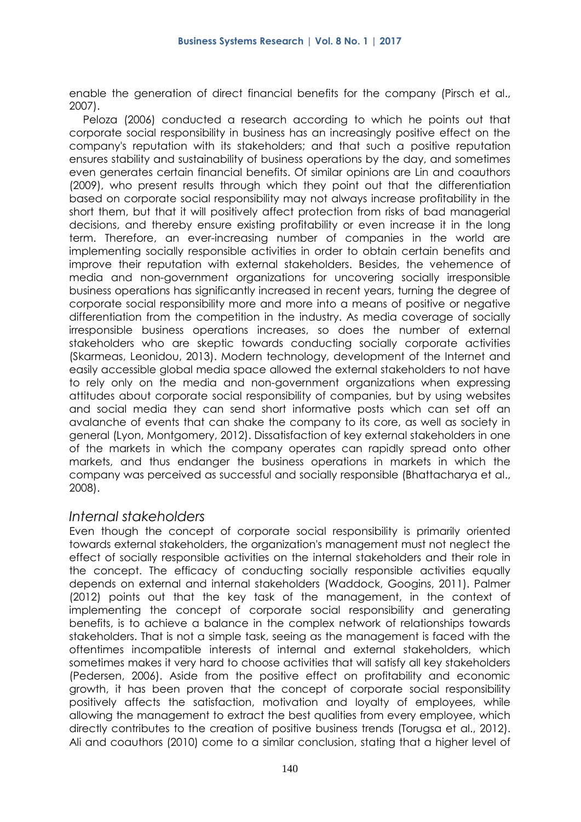enable the generation of direct financial benefits for the company (Pirsch et al., 2007).

Peloza (2006) conducted a research according to which he points out that corporate social responsibility in business has an increasingly positive effect on the company's reputation with its stakeholders; and that such a positive reputation ensures stability and sustainability of business operations by the day, and sometimes even generates certain financial benefits. Of similar opinions are Lin and coauthors (2009), who present results through which they point out that the differentiation based on corporate social responsibility may not always increase profitability in the short them, but that it will positively affect protection from risks of bad managerial decisions, and thereby ensure existing profitability or even increase it in the long term. Therefore, an ever-increasing number of companies in the world are implementing socially responsible activities in order to obtain certain benefits and improve their reputation with external stakeholders. Besides, the vehemence of media and non-government organizations for uncovering socially irresponsible business operations has significantly increased in recent years, turning the degree of corporate social responsibility more and more into a means of positive or negative differentiation from the competition in the industry. As media coverage of socially irresponsible business operations increases, so does the number of external stakeholders who are skeptic towards conducting socially corporate activities (Skarmeas, Leonidou, 2013). Modern technology, development of the Internet and easily accessible global media space allowed the external stakeholders to not have to rely only on the media and non-government organizations when expressing attitudes about corporate social responsibility of companies, but by using websites and social media they can send short informative posts which can set off an avalanche of events that can shake the company to its core, as well as society in general (Lyon, Montgomery, 2012). Dissatisfaction of key external stakeholders in one of the markets in which the company operates can rapidly spread onto other markets, and thus endanger the business operations in markets in which the company was perceived as successful and socially responsible (Bhattacharya et al., 2008).

#### *Internal stakeholders*

Even though the concept of corporate social responsibility is primarily oriented towards external stakeholders, the organization's management must not neglect the effect of socially responsible activities on the internal stakeholders and their role in the concept. The efficacy of conducting socially responsible activities equally depends on external and internal stakeholders (Waddock, Googins, 2011). Palmer (2012) points out that the key task of the management, in the context of implementing the concept of corporate social responsibility and generating benefits, is to achieve a balance in the complex network of relationships towards stakeholders. That is not a simple task, seeing as the management is faced with the oftentimes incompatible interests of internal and external stakeholders, which sometimes makes it very hard to choose activities that will satisfy all key stakeholders (Pedersen, 2006). Aside from the positive effect on profitability and economic growth, it has been proven that the concept of corporate social responsibility positively affects the satisfaction, motivation and loyalty of employees, while allowing the management to extract the best qualities from every employee, which directly contributes to the creation of positive business trends (Torugsa et al., 2012). Ali and coauthors (2010) come to a similar conclusion, stating that a higher level of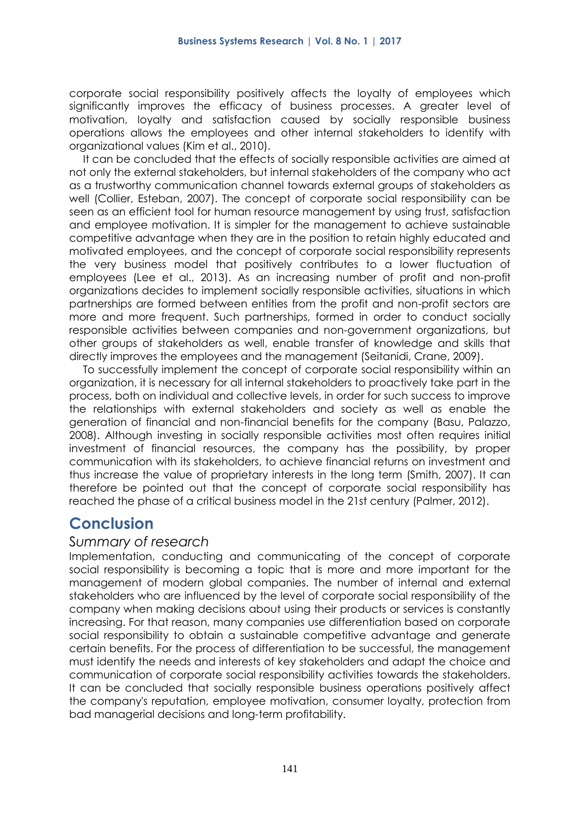corporate social responsibility positively affects the loyalty of employees which significantly improves the efficacy of business processes. A greater level of motivation, loyalty and satisfaction caused by socially responsible business operations allows the employees and other internal stakeholders to identify with organizational values (Kim et al., 2010).

It can be concluded that the effects of socially responsible activities are aimed at not only the external stakeholders, but internal stakeholders of the company who act as a trustworthy communication channel towards external groups of stakeholders as well (Collier, Esteban, 2007). The concept of corporate social responsibility can be seen as an efficient tool for human resource management by using trust, satisfaction and employee motivation. It is simpler for the management to achieve sustainable competitive advantage when they are in the position to retain highly educated and motivated employees, and the concept of corporate social responsibility represents the very business model that positively contributes to a lower fluctuation of employees (Lee et al., 2013). As an increasing number of profit and non-profit organizations decides to implement socially responsible activities, situations in which partnerships are formed between entities from the profit and non-profit sectors are more and more frequent. Such partnerships, formed in order to conduct socially responsible activities between companies and non-government organizations, but other groups of stakeholders as well, enable transfer of knowledge and skills that directly improves the employees and the management (Seitanidi, Crane, 2009).

To successfully implement the concept of corporate social responsibility within an organization, it is necessary for all internal stakeholders to proactively take part in the process, both on individual and collective levels, in order for such success to improve the relationships with external stakeholders and society as well as enable the generation of financial and non-financial benefits for the company (Basu, Palazzo, 2008). Although investing in socially responsible activities most often requires initial investment of financial resources, the company has the possibility, by proper communication with its stakeholders, to achieve financial returns on investment and thus increase the value of proprietary interests in the long term (Smith, 2007). It can therefore be pointed out that the concept of corporate social responsibility has reached the phase of a critical business model in the 21st century (Palmer, 2012).

# **Conclusion**

#### S*ummary of research*

Implementation, conducting and communicating of the concept of corporate social responsibility is becoming a topic that is more and more important for the management of modern global companies. The number of internal and external stakeholders who are influenced by the level of corporate social responsibility of the company when making decisions about using their products or services is constantly increasing. For that reason, many companies use differentiation based on corporate social responsibility to obtain a sustainable competitive advantage and generate certain benefits. For the process of differentiation to be successful, the management must identify the needs and interests of key stakeholders and adapt the choice and communication of corporate social responsibility activities towards the stakeholders. It can be concluded that socially responsible business operations positively affect the company's reputation, employee motivation, consumer loyalty, protection from bad managerial decisions and long-term profitability.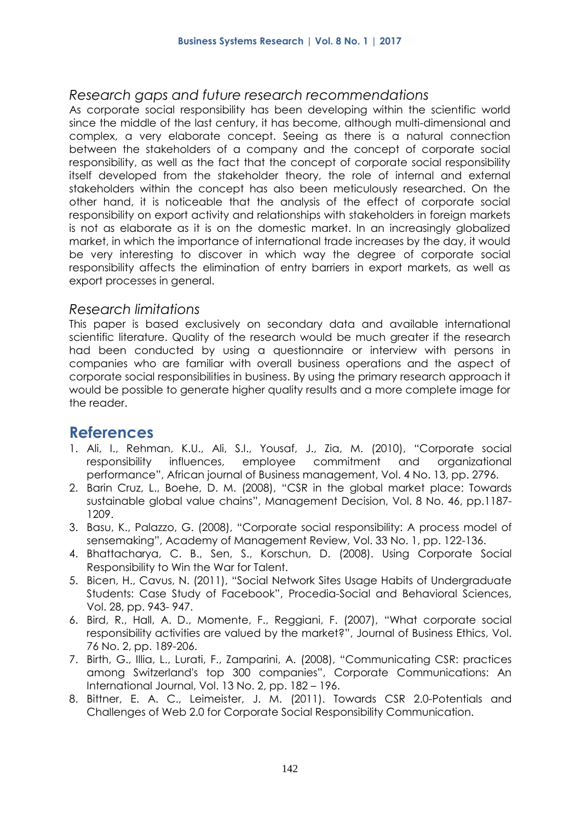#### *Research gaps and future research recommendations*

As corporate social responsibility has been developing within the scientific world since the middle of the last century, it has become, although multi-dimensional and complex, a very elaborate concept. Seeing as there is a natural connection between the stakeholders of a company and the concept of corporate social responsibility, as well as the fact that the concept of corporate social responsibility itself developed from the stakeholder theory, the role of internal and external stakeholders within the concept has also been meticulously researched. On the other hand, it is noticeable that the analysis of the effect of corporate social responsibility on export activity and relationships with stakeholders in foreign markets is not as elaborate as it is on the domestic market. In an increasingly globalized market, in which the importance of international trade increases by the day, it would be very interesting to discover in which way the degree of corporate social responsibility affects the elimination of entry barriers in export markets, as well as export processes in general.

#### *Research limitations*

This paper is based exclusively on secondary data and available international scientific literature. Quality of the research would be much greater if the research had been conducted by using a questionnaire or interview with persons in companies who are familiar with overall business operations and the aspect of corporate social responsibilities in business. By using the primary research approach it would be possible to generate higher quality results and a more complete image for the reader.

## **References**

- 1. Ali, I., Rehman, K.U., Ali, S.I., Yousaf, J., Zia, M. (2010), "Corporate social responsibility influences, employee commitment and organizational performance", African journal of Business management, Vol. 4 No. 13, pp. 2796.
- 2. Barin Cruz, L., Boehe, D. M. (2008), "CSR in the global market place: Towards sustainable global value chains", Management Decision, Vol. 8 No. 46, pp.1187- 1209.
- 3. Basu, K., Palazzo, G. (2008), "Corporate social responsibility: A process model of sensemaking", Academy of Management Review, Vol. 33 No. 1, pp. 122-136.
- 4. Bhattacharya, C. B., Sen, S., Korschun, D. (2008). Using Corporate Social Responsibility to Win the War for Talent.
- 5. Bicen, H., Cavus, N. (2011), "Social Network Sites Usage Habits of Undergraduate Students: Case Study of Facebook", Procedia-Social and Behavioral Sciences, Vol. 28, pp. 943- 947.
- 6. Bird, R., Hall, A. D., Momente, F., Reggiani, F. (2007), "What corporate social responsibility activities are valued by the market?", Journal of Business Ethics, Vol. 76 No. 2, pp. 189-206.
- 7. Birth, G., Illia, L., Lurati, F., Zamparini, A. (2008), "Communicating CSR: practices among Switzerland's top 300 companies", Corporate Communications: An International Journal, Vol. 13 No. 2, pp. 182 – 196.
- 8. Bittner, E. A. C., Leimeister, J. M. (2011). Towards CSR 2.0-Potentials and Challenges of Web 2.0 for Corporate Social Responsibility Communication.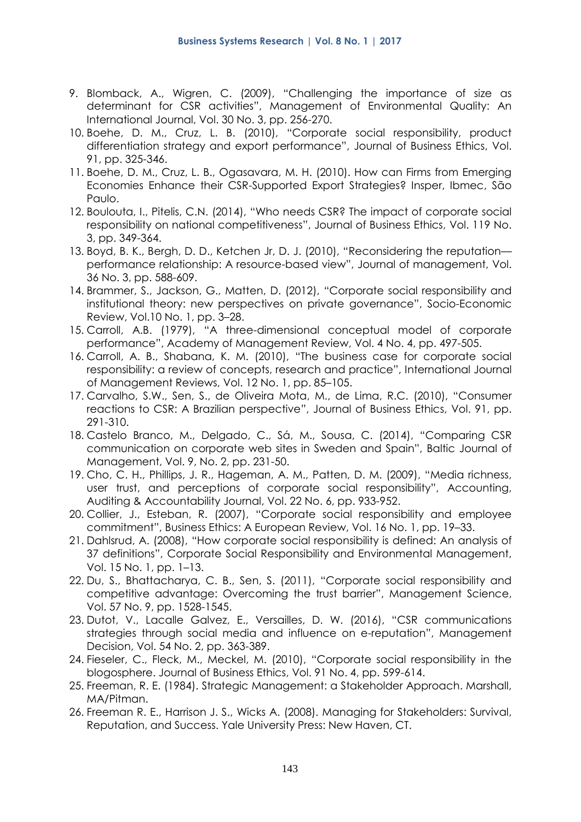- 9. Blomback, A., Wigren, C. (2009), "Challenging the importance of size as determinant for CSR activities", Management of Environmental Quality: An International Journal, Vol. 30 No. 3, pp. 256-270.
- 10. Boehe, D. M., Cruz, L. B. (2010), "Corporate social responsibility, product differentiation strategy and export performance", Journal of Business Ethics, Vol. 91, pp. 325-346.
- 11. Boehe, D. M., Cruz, L. B., Ogasavara, M. H. (2010). How can Firms from Emerging Economies Enhance their CSR-Supported Export Strategies? Insper, Ibmec, São Paulo.
- 12. Boulouta, I., Pitelis, C.N. (2014), "Who needs CSR? The impact of corporate social responsibility on national competitiveness", Journal of Business Ethics, Vol. 119 No. 3, pp. 349-364.
- 13. Boyd, B. K., Bergh, D. D., Ketchen Jr, D. J. (2010), "Reconsidering the reputation performance relationship: A resource-based view", Journal of management, Vol. 36 No. 3, pp. 588-609.
- 14. Brammer, S., Jackson, G., Matten, D. (2012), "Corporate social responsibility and institutional theory: new perspectives on private governance", Socio-Economic Review, Vol.10 No. 1, pp. 3–28.
- 15. Carroll, A.B. (1979), "A three-dimensional conceptual model of corporate performance", Academy of Management Review, Vol. 4 No. 4, pp. 497-505.
- 16. Carroll, A. B., Shabana, K. M. (2010), "The business case for corporate social responsibility: a review of concepts, research and practice", International Journal of Management Reviews, Vol. 12 No. 1, pp. 85–105.
- 17. Carvalho, S.W., Sen, S., de Oliveira Mota, M., de Lima, R.C. (2010), "Consumer reactions to CSR: A Brazilian perspective", Journal of Business Ethics, Vol. 91, pp. 291-310.
- 18. Castelo Branco, M., Delgado, C., Sá, M., Sousa, C. (2014), "Comparing CSR communication on corporate web sites in Sweden and Spain", Baltic Journal of Management, Vol. 9, No. 2, pp. 231-50.
- 19. Cho, C. H., Phillips, J. R., Hageman, A. M., Patten, D. M. (2009), "Media richness, user trust, and perceptions of corporate social responsibility", Accounting, Auditing & Accountability Journal, Vol. 22 No. 6, pp. 933-952.
- 20. Collier, J., Esteban, R. (2007), "Corporate social responsibility and employee commitment", Business Ethics: A European Review, Vol. 16 No. 1, pp. 19–33.
- 21. Dahlsrud, A. (2008), "How corporate social responsibility is defined: An analysis of 37 definitions", Corporate Social Responsibility and Environmental Management, Vol. 15 No. 1, pp. 1–13.
- 22. Du, S., Bhattacharya, C. B., Sen, S. (2011), "Corporate social responsibility and competitive advantage: Overcoming the trust barrier", Management Science, Vol. 57 No. 9, pp. 1528-1545.
- 23. Dutot, V., Lacalle Galvez, E., Versailles, D. W. (2016), "CSR communications strategies through social media and influence on e-reputation", Management Decision, Vol. 54 No. 2, pp. 363-389.
- 24. Fieseler, C., Fleck, M., Meckel, M. (2010), "Corporate social responsibility in the blogosphere. Journal of Business Ethics, Vol. 91 No. 4, pp. 599-614.
- 25. Freeman, R. E. (1984). Strategic Management: a Stakeholder Approach. Marshall, MA/Pitman.
- 26. Freeman R. E., Harrison J. S., Wicks A. (2008). Managing for Stakeholders: Survival, Reputation, and Success. Yale University Press: New Haven, CT.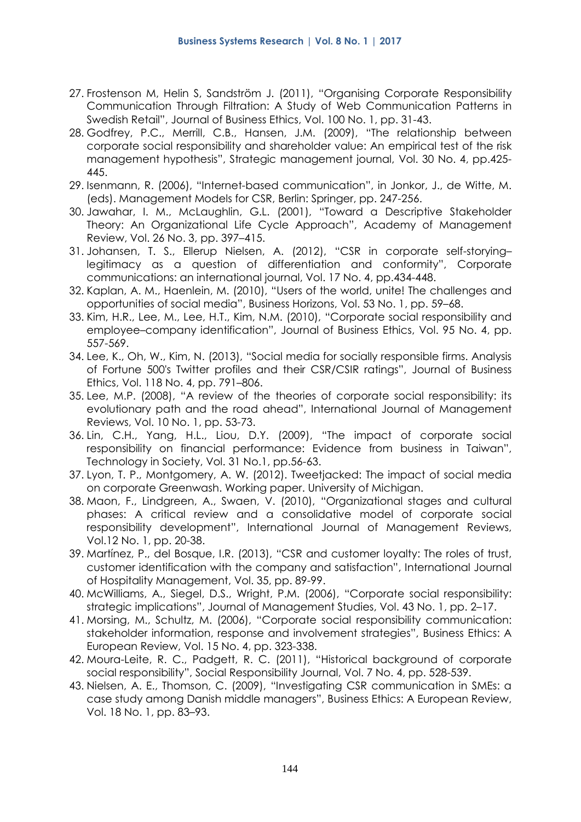- 27. Frostenson M, Helin S, Sandström J. (2011), "Organising Corporate Responsibility Communication Through Filtration: A Study of Web Communication Patterns in Swedish Retail", Journal of Business Ethics, Vol. 100 No. 1, pp. 31-43.
- 28. Godfrey, P.C., Merrill, C.B., Hansen, J.M. (2009), "The relationship between corporate social responsibility and shareholder value: An empirical test of the risk management hypothesis", Strategic management journal, Vol. 30 No. 4, pp.425- 445.
- 29. Isenmann, R. (2006), "Internet-based communication", in Jonkor, J., de Witte, M. (eds). Management Models for CSR, Berlin: Springer, pp. 247-256.
- 30. Jawahar, I. M., McLaughlin, G.L. (2001), "Toward a Descriptive Stakeholder Theory: An Organizational Life Cycle Approach", Academy of Management Review, Vol. 26 No. 3, pp. 397–415.
- 31. Johansen, T. S., Ellerup Nielsen, A. (2012), "CSR in corporate self-storying– legitimacy as a question of differentiation and conformity", Corporate communications: an international journal, Vol. 17 No. 4, pp.434-448.
- 32. Kaplan, A. M., Haenlein, M. (2010), "Users of the world, unite! The challenges and opportunities of social media", Business Horizons, Vol. 53 No. 1, pp. 59–68.
- 33. Kim, H.R., Lee, M., Lee, H.T., Kim, N.M. (2010), "Corporate social responsibility and employee–company identification", Journal of Business Ethics, Vol. 95 No. 4, pp. 557-569.
- 34. Lee, K., Oh, W., Kim, N. (2013), "Social media for socially responsible firms. Analysis of Fortune 500's Twitter profiles and their CSR/CSIR ratings", Journal of Business Ethics, Vol. 118 No. 4, pp. 791–806.
- 35. Lee, M.P. (2008), "A review of the theories of corporate social responsibility: its evolutionary path and the road ahead", International Journal of Management Reviews, Vol. 10 No. 1, pp. 53-73.
- 36. Lin, C.H., Yang, H.L., Liou, D.Y. (2009), "The impact of corporate social responsibility on financial performance: Evidence from business in Taiwan", Technology in Society, Vol. 31 No.1, pp.56-63.
- 37. Lyon, T. P., Montgomery, A. W. (2012). Tweetjacked: The impact of social media on corporate Greenwash. Working paper. University of Michigan.
- 38. Maon, F., Lindgreen, A., Swaen, V. (2010), "Organizational stages and cultural phases: A critical review and a consolidative model of corporate social responsibility development", International Journal of Management Reviews, Vol.12 No. 1, pp. 20-38.
- 39. Martínez, P., del Bosque, I.R. (2013), "CSR and customer loyalty: The roles of trust, customer identification with the company and satisfaction", International Journal of Hospitality Management, Vol. 35, pp. 89-99.
- 40. McWilliams, A., Siegel, D.S., Wright, P.M. (2006), "Corporate social responsibility: strategic implications", Journal of Management Studies, Vol. 43 No. 1, pp. 2–17.
- 41. Morsing, M., Schultz, M. (2006), "Corporate social responsibility communication: stakeholder information, response and involvement strategies", Business Ethics: A European Review, Vol. 15 No. 4, pp. 323-338.
- 42. Moura-Leite, R. C., Padgett, R. C. (2011), "Historical background of corporate social responsibility", Social Responsibility Journal, Vol. 7 No. 4, pp. 528-539.
- 43. Nielsen, A. E., Thomson, C. (2009), "Investigating CSR communication in SMEs: a case study among Danish middle managers", Business Ethics: A European Review, Vol. 18 No. 1, pp. 83–93.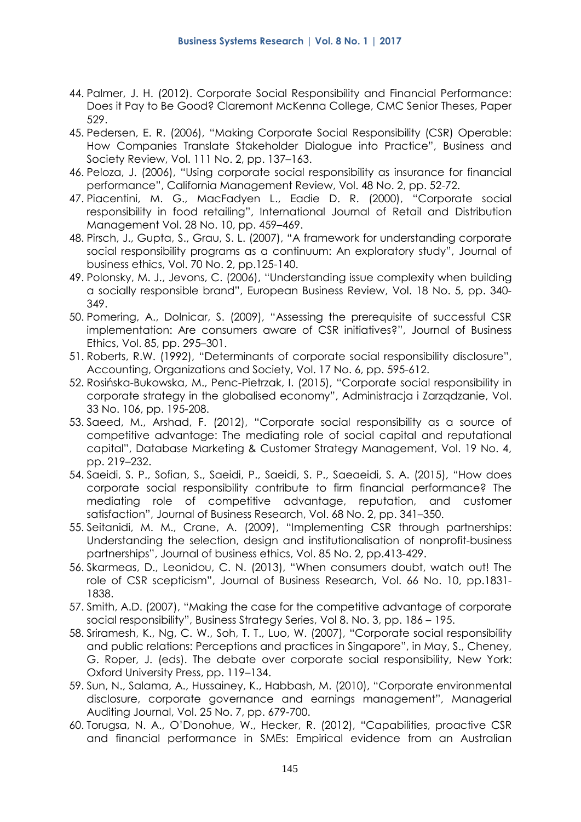- 44. Palmer, J. H. (2012). Corporate Social Responsibility and Financial Performance: Does it Pay to Be Good? Claremont McKenna College, CMC Senior Theses, Paper 529.
- 45. Pedersen, E. R. (2006), "Making Corporate Social Responsibility (CSR) Operable: How Companies Translate Stakeholder Dialogue into Practice", Business and Society Review, Vol. 111 No. 2, pp. 137–163.
- 46. Peloza, J. (2006), "Using corporate social responsibility as insurance for financial performance", California Management Review, Vol. 48 No. 2, pp. 52-72.
- 47. Piacentini, M. G., MacFadyen L., Eadie D. R. (2000), "Corporate social responsibility in food retailing", International Journal of Retail and Distribution Management Vol. 28 No. 10, pp. 459–469.
- 48. Pirsch, J., Gupta, S., Grau, S. L. (2007), "A framework for understanding corporate social responsibility programs as a continuum: An exploratory study", Journal of business ethics, Vol. 70 No. 2, pp.125-140.
- 49. Polonsky, M. J., Jevons, C. (2006), "Understanding issue complexity when building a socially responsible brand", European Business Review, Vol. 18 No. 5, pp. 340- 349.
- 50. Pomering, A., Dolnicar, S. (2009), "Assessing the prerequisite of successful CSR implementation: Are consumers aware of CSR initiatives?", Journal of Business Ethics, Vol. 85, pp. 295–301.
- 51. Roberts, R.W. (1992), "Determinants of corporate social responsibility disclosure", Accounting, Organizations and Society, Vol. 17 No. 6, pp. 595-612.
- 52. Rosińska-Bukowska, M., Penc-Pietrzak, I. (2015), "Corporate social responsibility in corporate strategy in the globalised economy", Administracja i Zarządzanie, Vol. 33 No. 106, pp. 195-208.
- 53. Saeed, M., Arshad, F. (2012), "Corporate social responsibility as a source of competitive advantage: The mediating role of social capital and reputational capital", Database Marketing & Customer Strategy Management, Vol. 19 No. 4, pp. 219–232.
- 54. Saeidi, S. P., Sofian, S., Saeidi, P., Saeidi, S. P., Saeaeidi, S. A. (2015), "How does corporate social responsibility contribute to firm financial performance? The mediating role of competitive advantage, reputation, and customer satisfaction", Journal of Business Research, Vol. 68 No. 2, pp. 341–350.
- 55. Seitanidi, M. M., Crane, A. (2009), "Implementing CSR through partnerships: Understanding the selection, design and institutionalisation of nonprofit-business partnerships", Journal of business ethics, Vol. 85 No. 2, pp.413-429.
- 56. Skarmeas, D., Leonidou, C. N. (2013), "When consumers doubt, watch out! The role of CSR scepticism", Journal of Business Research, Vol. 66 No. 10, pp.1831- 1838.
- 57. Smith, A.D. (2007), "Making the case for the competitive advantage of corporate social responsibility", Business Strategy Series, Vol 8. No. 3, pp. 186 – 195.
- 58. Sriramesh, K., Ng, C. W., Soh, T. T., Luo, W. (2007), "Corporate social responsibility and public relations: Perceptions and practices in Singapore", in May, S., Cheney, G. Roper, J. (eds). The debate over corporate social responsibility, New York: Oxford University Press, pp. 119–134.
- 59. Sun, N., Salama, A., Hussainey, K., Habbash, M. (2010), "Corporate environmental disclosure, corporate governance and earnings management", Managerial Auditing Journal, Vol. 25 No. 7, pp. 679-700.
- 60. Torugsa, N. A., O'Donohue, W., Hecker, R. (2012), "Capabilities, proactive CSR and financial performance in SMEs: Empirical evidence from an Australian